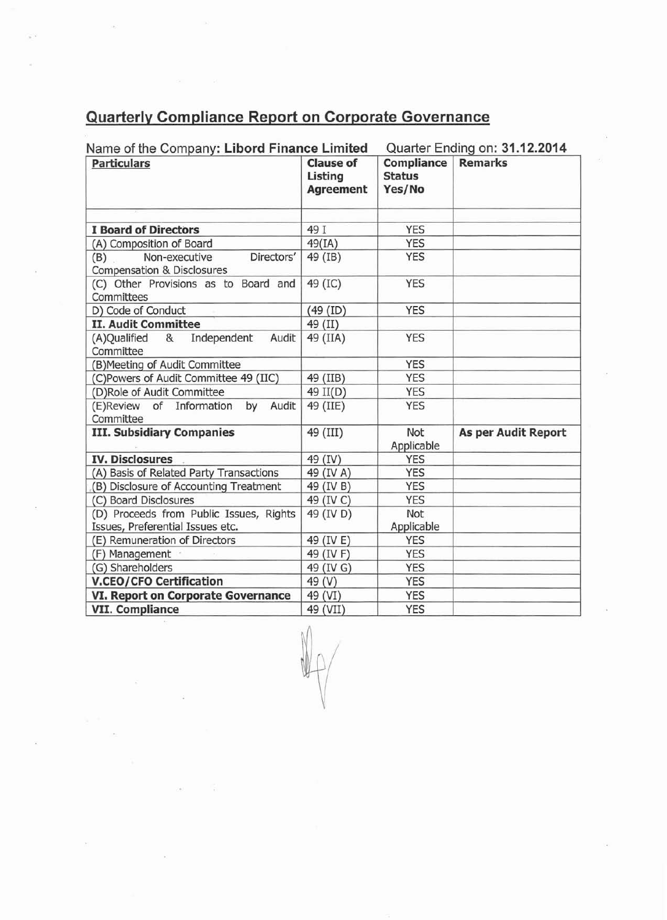## **Quarterly Compliance Report on Corporate Governance**

| <b>Particulars</b>                                                          | <b>Clause of</b><br>Listing<br><b>Agreement</b> | Compliance<br><b>Status</b><br>Yes/No | <b>Remarks</b>             |
|-----------------------------------------------------------------------------|-------------------------------------------------|---------------------------------------|----------------------------|
| <b>I Board of Directors</b>                                                 | 49 I                                            | <b>YES</b>                            |                            |
| (A) Composition of Board                                                    | 49(IA)                                          | <b>YES</b>                            |                            |
| Non-executive<br>Directors'<br>(B)<br>Compensation & Disclosures            | 49 (IB)                                         | <b>YES</b>                            |                            |
| (C) Other Provisions as to Board and<br>Committees                          | 49 (IC)                                         | <b>YES</b>                            |                            |
| D) Code of Conduct                                                          | (49 (ID)                                        | <b>YES</b>                            |                            |
| <b>II. Audit Committee</b>                                                  | 49 (II)                                         |                                       |                            |
| Independent<br>(A)Qualified &<br>Audit<br>Committee                         | 49 (IIA)                                        | <b>YES</b>                            |                            |
| (B) Meeting of Audit Committee                                              |                                                 | <b>YES</b>                            |                            |
| (C)Powers of Audit Committee 49 (IIC)                                       | 49 (IIB)                                        | <b>YES</b>                            |                            |
| (D)Role of Audit Committee                                                  | 49 II(D)                                        | <b>YES</b>                            |                            |
| of Information<br>Audit<br>(E)Review<br>by<br>Committee                     | 49 (IIE)                                        | <b>YES</b>                            |                            |
| <b>III. Subsidiary Companies</b>                                            | 49 (III)                                        | Not<br>Applicable                     | <b>As per Audit Report</b> |
| <b>IV. Disclosures</b>                                                      | 49 (IV)                                         | <b>YES</b>                            |                            |
| (A) Basis of Related Party Transactions                                     | 49 (IV A)                                       | <b>YES</b>                            |                            |
| (B) Disclosure of Accounting Treatment                                      | 49 (IV B)                                       | <b>YES</b>                            |                            |
| (C) Board Disclosures                                                       | 49 (IV C)                                       | <b>YES</b>                            |                            |
| (D) Proceeds from Public Issues, Rights<br>Issues, Preferential Issues etc. | 49 (IV D)                                       | Not<br>Applicable                     |                            |
| (E) Remuneration of Directors                                               | 49 (IV E)                                       | <b>YES</b>                            |                            |
| (F) Management                                                              | 49 (IV F)                                       | <b>YES</b>                            |                            |
| (G) Shareholders                                                            | 49 (IV G)                                       | <b>YES</b>                            |                            |
| <b>V.CEO/CFO Certification</b>                                              | 49 (V)                                          | <b>YES</b>                            |                            |
| VI. Report on Corporate Governance                                          | 49 (VI)                                         | <b>YES</b>                            |                            |
| <b>VII. Compliance</b>                                                      | 49 (VII)                                        | <b>YES</b>                            |                            |

 $\mathbb{U} \rho$